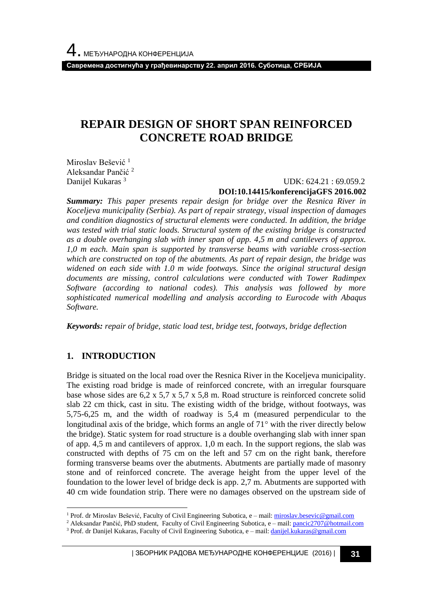**Савремена достигнућа у грађевинарству 22. април 2016. Суботица, СРБИЈА**

## **REPAIR DESIGN OF SHORT SPAN REINFORCED CONCRETE ROAD BRIDGE**

Miroslav Bešević<sup>1</sup> Aleksandar Pančić <sup>2</sup> Danijel Kukaras<sup>3</sup>

 UDK: 624.21 : 69.059.2 **DOI:10.14415/konferencijaGFS 2016.002**

*Summary: This paper presents repair design for bridge over the Resnica River in Koceljeva municipality (Serbia). As part of repair strategy, visual inspection of damages and condition diagnostics of structural elements were conducted. In addition, the bridge was tested with trial static loads. Structural system of the existing bridge is constructed as a double overhanging slab with inner span of app. 4,5 m and cantilevers of approx. 1,0 m each. Main span is supported by transverse beams with variable cross-section which are constructed on top of the abutments. As part of repair design, the bridge was widened on each side with 1.0 m wide footways. Since the original structural design documents are missing, control calculations were conducted with Tower Radimpex Software (according to national codes). This analysis was followed by more sophisticated numerical modelling and analysis according to Eurocode with Abaqus Software.*

*Keywords: repair of bridge, static load test, bridge test, footways, bridge deflection*

### **1. INTRODUCTION**

l

Bridge is situated on the local road over the Resnica River in the Koceljeva municipality. The existing road bridge is made of reinforced concrete, with an irregular foursquare base whose sides are 6,2 x 5,7 x 5,7 x 5,8 m. Road structure is reinforced concrete solid slab 22 cm thick, cast in situ. The existing width of the bridge, without footways, was 5,75-6,25 m, and the width of roadway is 5,4 m (measured perpendicular to the longitudinal axis of the bridge, which forms an angle of  $71^\circ$  with the river directly below the bridge). Static system for road structure is a double overhanging slab with inner span of app. 4,5 m and cantilevers of approx. 1,0 m each. In the support regions, the slab was constructed with depths of 75 cm on the left and 57 cm on the right bank, therefore forming transverse beams over the abutments. Abutments are partially made of masonry stone and of reinforced concrete. The average height from the upper level of the foundation to the lower level of bridge deck is app. 2,7 m. Abutments are supported with 40 cm wide foundation strip. There were no damages observed on the upstream side of

<sup>&</sup>lt;sup>1</sup> Prof. dr Miroslav Bešević, Faculty of Civil Engineering Subotica, e - mail: [miroslav.besevic@gmail.com](mailto:miroslav.besevic@gmail.com)

<sup>&</sup>lt;sup>2</sup> Aleksandar Pančić, PhD student, Faculty of Civil Engineering Subotica, e – mail[: pancic2707@hotmail.com](mailto:pancic2707@hotmail.com)

<sup>&</sup>lt;sup>3</sup> Prof. dr Danijel Kukaras, Faculty of Civil Engineering Subotica, e - mail[: danijel.kukaras@gmail.com](mailto:danijel.kukaras@gmail.com)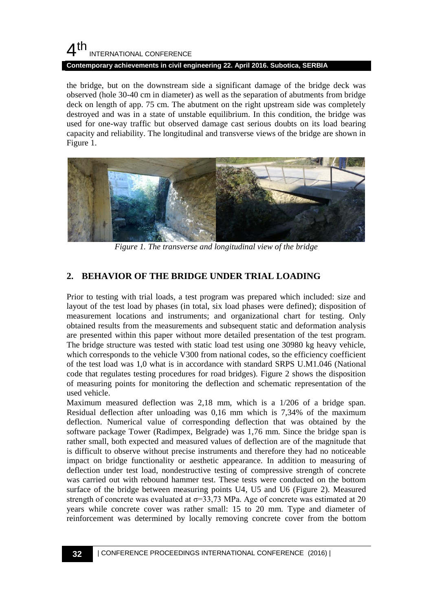### $4<sup>th</sup>$ INTERNATIONAL CONFERENCE **Contemporary achievements in civil engineering 22. April 2016. Subotica, SERBIA**

the bridge, but on the downstream side a significant damage of the bridge deck was observed (hole 30-40 cm in diameter) as well as the separation of abutments from bridge deck on length of app. 75 cm. The abutment on the right upstream side was completely destroyed and was in a state of unstable equilibrium. In this condition, the bridge was used for one-way traffic but observed damage cast serious doubts on its load bearing capacity and reliability. The longitudinal and transverse views of the bridge are shown in Figure 1.



*Figure 1. The transverse and longitudinal view of the bridge*

## **2. BEHAVIOR OF THE BRIDGE UNDER TRIAL LOADING**

Prior to testing with trial loads, a test program was prepared which included: size and layout of the test load by phases (in total, six load phases were defined); disposition of measurement locations and instruments; and organizational chart for testing. Only obtained results from the measurements and subsequent static and deformation analysis are presented within this paper without more detailed presentation of the test program. The bridge structure was tested with static load test using one 30980 kg heavy vehicle, which corresponds to the vehicle V300 from national codes, so the efficiency coefficient of the test load was 1,0 what is in accordance with standard SRPS U.M1.046 (National code that regulates testing procedures for road bridges). Figure 2 shows the disposition of measuring points for monitoring the deflection and schematic representation of the used vehicle.

Maximum measured deflection was 2,18 mm, which is a 1/206 of a bridge span. Residual deflection after unloading was 0,16 mm which is 7,34% of the maximum deflection. Numerical value of corresponding deflection that was obtained by the software package Tower (Radimpex, Belgrade) was 1,76 mm. Since the bridge span is rather small, both expected and measured values of deflection are of the magnitude that is difficult to observe without precise instruments and therefore they had no noticeable impact on bridge functionality or aesthetic appearance. In addition to measuring of deflection under test load, nondestructive testing of compressive strength of concrete was carried out with rebound hammer test. These tests were conducted on the bottom surface of the bridge between measuring points U4, U5 and U6 (Figure 2). Measured strength of concrete was evaluated at  $\sigma$ =33,73 MPa. Age of concrete was estimated at 20 years while concrete cover was rather small: 15 to 20 mm. Type and diameter of reinforcement was determined by locally removing concrete cover from the bottom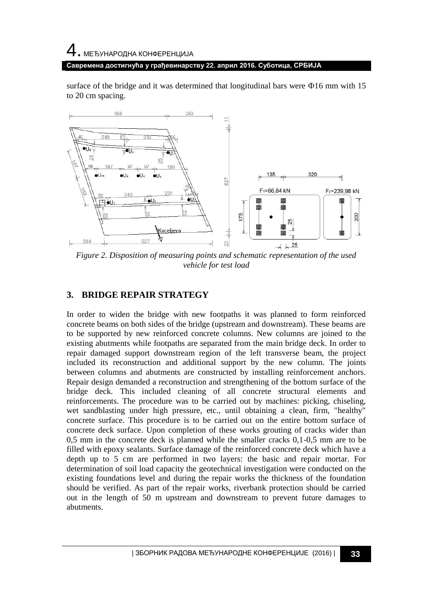# 4. МЕЂУНАРОДНА КОНФЕРЕНЦИЈА **Савремена достигнућа у грађевинарству 22. април 2016. Суботица, СРБИЈА**

surface of the bridge and it was determined that longitudinal bars were  $\Phi$ 16 mm with 15 to 20 cm spacing.



*Figure 2. Disposition of measuring points and schematic representation of the used vehicle for test load*

## **3. BRIDGE REPAIR STRATEGY**

In order to widen the bridge with new footpaths it was planned to form reinforced concrete beams on both sides of the bridge (upstream and downstream). These beams are to be supported by new reinforced concrete columns. New columns are joined to the existing abutments while footpaths are separated from the main bridge deck. In order to repair damaged support downstream region of the left transverse beam, the project included its reconstruction and additional support by the new column. The joints between columns and abutments are constructed by installing reinforcement anchors. Repair design demanded a reconstruction and strengthening of the bottom surface of the bridge deck. This included cleaning of all concrete structural elements and reinforcements. The procedure was to be carried out by machines: picking, chiseling, wet sandblasting under high pressure, etc., until obtaining a clean, firm, "healthy" concrete surface. This procedure is to be carried out on the entire bottom surface of concrete deck surface. Upon completion of these works grouting of cracks wider than 0,5 mm in the concrete deck is planned while the smaller cracks 0,1-0,5 mm are to be filled with epoxy sealants. Surface damage of the reinforced concrete deck which have a depth up to 5 cm are performed in two layers: the basic and repair mortar. For determination of soil load capacity the geotechnical investigation were conducted on the existing foundations level and during the repair works the thickness of the foundation should be verified. As part of the repair works, riverbank protection should be carried out in the length of 50 m upstream and downstream to prevent future damages to abutments.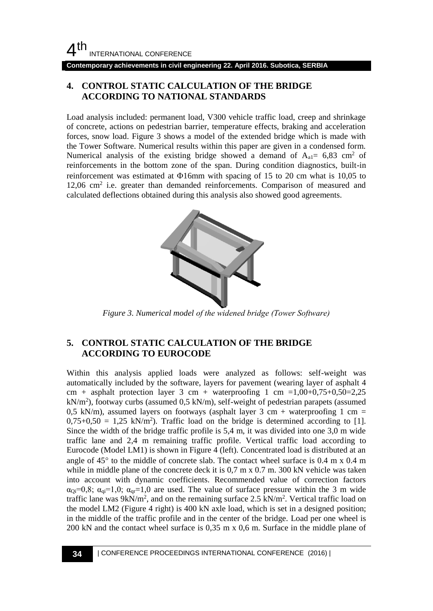**Contemporary achievements in civil engineering 22. April 2016. Subotica, SERBIA**

### **4. CONTROL STATIC CALCULATION OF THE BRIDGE ACCORDING TO NATIONAL STANDARDS**

Load analysis included: permanent load, V300 vehicle traffic load, creep and shrinkage of concrete, actions on pedestrian barrier, temperature effects, braking and acceleration forces, snow load. Figure 3 shows a model of the extended bridge which is made with the Tower Software. Numerical results within this paper are given in a condensed form. Numerical analysis of the existing bridge showed a demand of  $A_{al} = 6.83$  cm<sup>2</sup> of reinforcements in the bottom zone of the span. During condition diagnostics, built-in reinforcement was estimated at  $\Phi$ 16mm with spacing of 15 to 20 cm what is 10,05 to 12,06 cm<sup>2</sup> i.e. greater than demanded reinforcements. Comparison of measured and calculated deflections obtained during this analysis also showed good agreements.



*Figure 3. Numerical model of the widened bridge (Тower Software)*

### **5. CONTROL STATIC CALCULATION OF THE BRIDGE ACCORDING TO EUROCODE**

Within this analysis applied loads were analyzed as follows: self-weight was automatically included by the software, layers for pavement (wearing layer of asphalt 4 cm + asphalt protection layer 3 cm + waterproofing 1 cm =1,00+0,75+0,50=2,25  $kN/m<sup>2</sup>$ ), footway curbs (assumed 0,5 kN/m), self-weight of pedestrian parapets (assumed 0,5 kN/m), assumed layers on footways (asphalt layer 3 cm + waterproofing 1 cm =  $0.75+0.50 = 1.25$  kN/m<sup>2</sup>). Traffic load on the bridge is determined according to [1]. Since the width of the bridge traffic profile is 5,4 m, it was divided into one 3,0 m wide traffic lane and 2,4 m remaining traffic profile. Vertical traffic load according to Eurocode (Model LM1) is shown in Figure 4 (left). Concentrated load is distributed at an angle of  $45^{\circ}$  to the middle of concrete slab. The contact wheel surface is 0.4 m x 0.4 m while in middle plane of the concrete deck it is  $0.7 \text{ m} \times 0.7 \text{ m}$ . 300 kN vehicle was taken into account with dynamic coefficients. Recommended value of correction factors  $\alpha_{Qi}=0,8$ ;  $\alpha_{qi}=1,0$ ;  $\alpha_{qr}=1,0$  are used. The value of surface pressure within the 3 m wide traffic lane was  $9kN/m^2$ , and on the remaining surface 2.5  $kN/m^2$ . Vertical traffic load on the model LM2 (Figure 4 right) is 400 kN axle load, which is set in a designed position; in the middle of the traffic profile and in the center of the bridge. Load per one wheel is 200 kN and the contact wheel surface is 0,35 m x 0,6 m. Surface in the middle plane of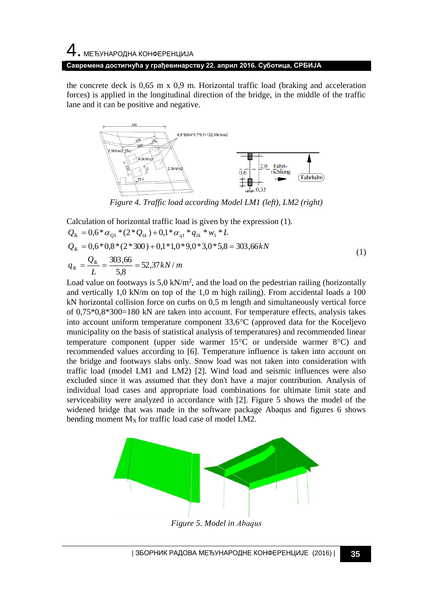# 4. МЕЂУНАРОДНА КОНФЕРЕНЦИЈА **Савремена достигнућа у грађевинарству 22. април 2016. Суботица, СРБИЈА**

the concrete deck is  $0.65$  m x  $0.9$  m. Horizontal traffic load (braking and acceleration forces) is applied in the longitudinal direction of the bridge, in the middle of the traffic lane and it can be positive and negative.



*Figure 4. Traffic load according Model LM1 (left), LM2 (right)*

Calculation of horizontal traffic load is given by the expression (1).

$$
Q_{lk} = 0.6 * \alpha_{Q1} * (2 * Q_{1k}) + 0.1 * \alpha_{q1} * q_{1k} * w_1 * L
$$
  
\n
$$
Q_{lk} = 0.6 * 0.8 * (2 * 300) + 0.1 * 1.0 * 9.0 * 3.0 * 5.8 = 303.66 kN
$$
  
\n
$$
q_{lk} = \frac{Q_{lk}}{L} = \frac{303.66}{5.8} = 52.37 kN/m
$$
\n(1)

Load value on footways is  $5.0 \text{ kN/m}^2$ , and the load on the pedestrian railing (horizontally and vertically  $1,0 \text{ kN/m}$  on top of the 1,0 m high railing). From accidental loads a 100 kN horizontal collision force on curbs on 0,5 m length and simultaneously vertical force of 0,75\*0,8\*300=180 kN are taken into account. For temperature effects, analysis takes into account uniform temperature component  $33.6^{\circ}$ C (approved data for the Koceljevo municipality on the basis of statistical analysis of temperatures) and recommended linear temperature component (upper side warmer  $15^{\circ}$ C or underside warmer  $8^{\circ}$ C) and recommended values according to [6]. Temperature influence is taken into account on the bridge and footways slabs only. Snow load was not taken into consideration with traffic load (model LM1 and LM2) [2]. Wind load and seismic influences were also excluded since it was assumed that they don't have a major contribution. Analysis of individual load cases and appropriate load combinations for ultimate limit state and serviceability were analyzed in accordance with [2]. Figure 5 shows the model of the widened bridge that was made in the software package Abaqus and figures 6 shows bending moment  $M_X$  for traffic load case of model LM2.



*Figure 5. Model in Аbaqus*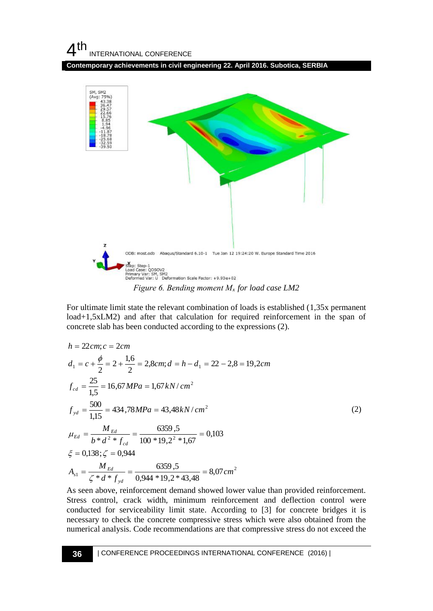## $4<sup>th</sup>$ INTERNATIONAL CONFERENCE

**Contemporary achievements in civil engineering 22. April 2016. Subotica, SERBIA**



For ultimate limit state the relevant combination of loads is established (1,35x permanent load+1,5xLM2) and after that calculation for required reinforcement in the span of concrete slab has been conducted according to the expressions (2).

$$
h = 22cm; c = 2cm
$$
\n
$$
d_1 = c + \frac{\phi}{2} = 2 + \frac{1,6}{2} = 2,8cm; d = h - d_1 = 22 - 2,8 = 19,2cm
$$
\n
$$
f_{cd} = \frac{25}{1,5} = 16,67 MPa = 1,67 kN/cm^2
$$
\n
$$
f_{yd} = \frac{500}{1,15} = 434,78 MPa = 43,48 kN/cm^2
$$
\n
$$
\mu_{Ed} = \frac{M_{Ed}}{b * d^2 * f_{cd}} = \frac{6359,5}{100 * 19,2^2 * 1,67} = 0,103
$$
\n
$$
\xi = 0,138; \zeta = 0,944
$$
\n
$$
A_{s1} = \frac{M_{Ed}}{\zeta * d * f_{yd}} = \frac{6359,5}{0,944 * 19,2 * 43,48} = 8,07 cm^2
$$

As seen above, reinforcement demand showed lower value than provided reinforcement. Stress control, crack width, minimum reinforcement and deflection control were conducted for serviceability limit state. According to [3] for concrete bridges it is necessary to check the concrete compressive stress which were also obtained from the numerical analysis. Code recommendations are that compressive stress do not exceed the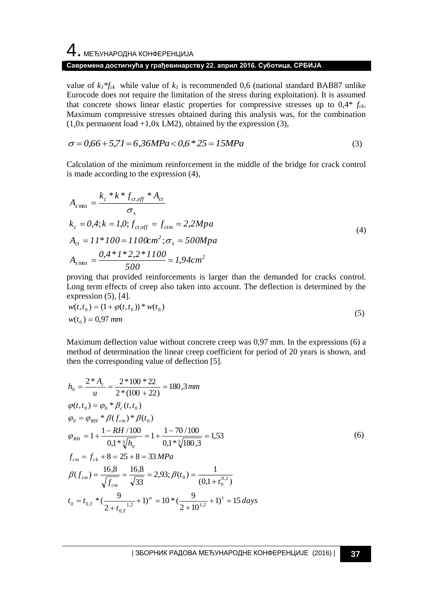4. МЕЂУНАРОДНА КОНФЕРЕНЦИЈА

### **Савремена достигнућа у грађевинарству 22. април 2016. Суботица, СРБИЈА**

value of  $k_l$ <sup>\*</sup> $f_{ck}$  while value of  $k_l$  is recommended 0,6 (national standard BAB87 unlike Eurocode does not require the limitation of the stress during exploitation). It is assumed that concrete shows linear elastic properties for compressive stresses up to 0,4\* *fck*. Maximum compressive stresses obtained during this analysis was, for the combination  $(1,0x)$  permanent load  $+1,0x$  LM2), obtained by the expression (3),

$$
\sigma = 0.66 + 5.71 = 6.36 MPa < 0.6 * 25 = 15 MPa
$$
\n(3)

Calculation of the minimum reinforcement in the middle of the bridge for crack control is made according to the expression (4),

$$
A_{s\min} = \frac{k_c * k * f_{ct,eff} * A_{ct}}{\sigma_s}
$$
  
\n
$$
k_c = 0, 4; k = 1, 0; f_{ct,eff} = f_{ctm} = 2, 2Mpa
$$
  
\n
$$
A_{ct} = 11 * 100 = 1100 \text{cm}^2; \sigma_s = 500 Mpa
$$
  
\n
$$
A_{s\min} = \frac{0, 4 * 1 * 2, 2 * 1100}{500} = 1, 94 \text{cm}^2
$$
 (4)

proving that provided reinforcements is larger than the demanded for cracks control. Long term effects of creep also taken into account. The deflection is determined by the expression  $(5)$ ,  $[4]$ .

$$
w(t, t_0) = (1 + \varphi(t, t_0)) * w(t_0)
$$
  
\n
$$
w(t_0) = 0.97 \text{ mm}
$$
\n(5)

Maximum deflection value without concrete creep was 0,97 mm. In the expressions (6) a method of determination the linear creep coefficient for period of 20 years is shown, and then the corresponding value of deflection [5].

$$
h_0 = \frac{2 * A_c}{u} = \frac{2 * 100 * 22}{2 * (100 + 22)} = 180,3 \text{ mm}
$$
  
\n
$$
\varphi(t, t_0) = \varphi_0 * \beta_c(t, t_0)
$$
  
\n
$$
\varphi_0 = \varphi_{RH} * \beta(f_{cm}) * \beta(t_0)
$$
  
\n
$$
\varphi_{RH} = 1 + \frac{1 - RH / 100}{0.1 * \sqrt[3]{h_0}} = 1 + \frac{1 - 70 / 100}{0.1 * \sqrt[3]{180.3}} = 1,53
$$
  
\n
$$
f_{cm} = f_{ck} + 8 = 25 + 8 = 33 \text{ MPa}
$$
  
\n
$$
\beta(f_{cm}) = \frac{16,8}{\sqrt{f_{cm}}} = \frac{16,8}{\sqrt{33}} = 2,93; \beta(t_0) = \frac{1}{(0,1+t_0^{0.2})}
$$
  
\n
$$
t_0 = t_{0,T} * (\frac{9}{2 + t_{0,T}^{1.2}} + 1)^{\alpha} = 10 * (\frac{9}{2 + 10^{1.2}} + 1)^1 = 15 \text{ days}
$$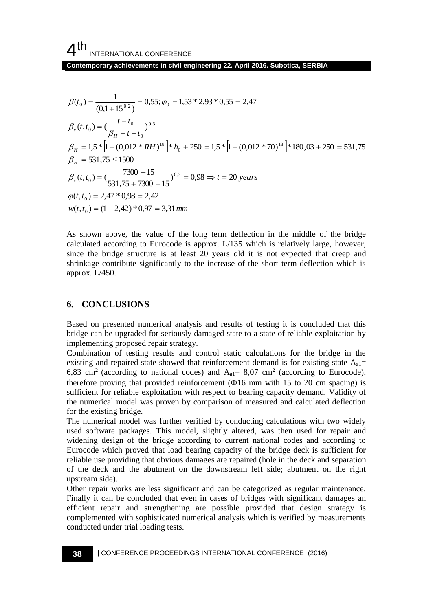**Contemporary achievements in civil engineering 22. April 2016. Subotica, SERBIA**

$$
\beta(t_0) = \frac{1}{(0,1+15^{0.2})} = 0,55; \varphi_0 = 1,53 * 2,93 * 0,55 = 2,47
$$
\n
$$
\beta_c(t, t_0) = \left(\frac{t - t_0}{\beta_H + t - t_0}\right)^{0.3}
$$
\n
$$
\beta_H = 1,5 * \left[1 + (0,012 * RH)^{18}\right] * h_0 + 250 = 1,5 * \left[1 + (0,012 * 70)^{18}\right] * 180,03 + 250 = 531,75
$$
\n
$$
\beta_H = 531,75 \le 1500
$$
\n
$$
\beta_c(t, t_0) = \left(\frac{7300 - 15}{531,75 + 7300 - 15}\right)^{0.3} = 0,98 \Rightarrow t = 20 \text{ years}
$$
\n
$$
\varphi(t, t_0) = 2,47 * 0,98 = 2,42
$$
\n
$$
w(t, t_0) = (1 + 2,42) * 0,97 = 3,31 \text{ mm}
$$

As shown above, the value of the long term deflection in the middle of the bridge calculated according to Eurocode is approx. L/135 which is relatively large, however, since the bridge structure is at least 20 years old it is not expected that creep and shrinkage contribute significantly to the increase of the short term deflection which is approx. L/450.

### **6. CONCLUSIONS**

Based on presented numerical analysis and results of testing it is concluded that this bridge can be upgraded for seriously damaged state to a state of reliable exploitation by implementing proposed repair strategy.

Combination of testing results and control static calculations for the bridge in the existing and repaired state showed that reinforcement demand is for existing state  $A_{a1}$ = 6,83 cm<sup>2</sup> (according to national codes) and  $A_{a1} = 8.07$  cm<sup>2</sup> (according to Eurocode), therefore proving that provided reinforcement  $(4016 \text{ mm with } 15 \text{ to } 20 \text{ cm spacing})$  is sufficient for reliable exploitation with respect to bearing capacity demand. Validity of the numerical model was proven by comparison of measured and calculated deflection for the existing bridge.

The numerical model was further verified by conducting calculations with two widely used software packages. This model, slightly altered, was then used for repair and widening design of the bridge according to current national codes and according to Eurocode which proved that load bearing capacity of the bridge deck is sufficient for reliable use providing that obvious damages are repaired (hole in the deck and separation of the deck and the abutment on the downstream left side; abutment on the right upstream side).

Other repair works are less significant and can be categorized as regular maintenance. Finally it can be concluded that even in cases of bridges with significant damages an efficient repair and strengthening are possible provided that design strategy is complemented with sophisticated numerical analysis which is verified by measurements conducted under trial loading tests.